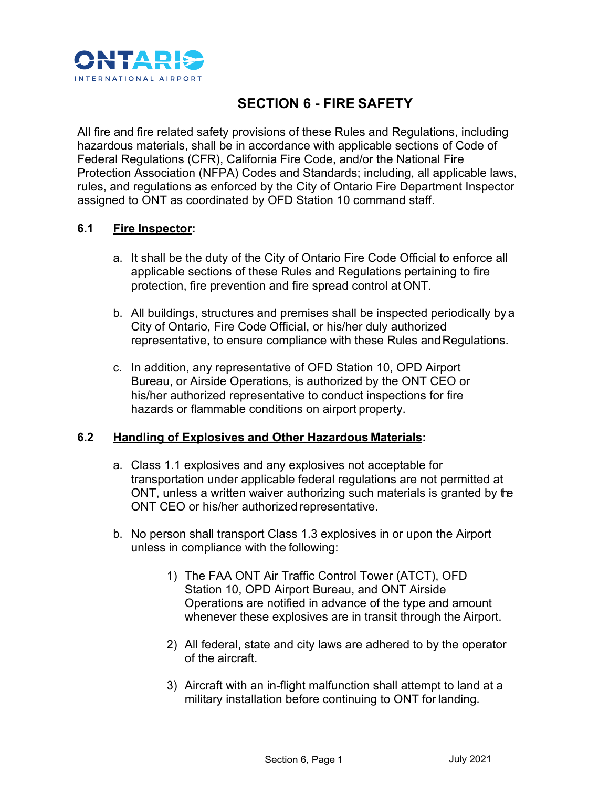

## **SECTION 6 - FIRE SAFETY**

All fire and fire related safety provisions of these Rules and Regulations, including hazardous materials, shall be in accordance with applicable sections of Code of Federal Regulations (CFR), California Fire Code, and/or the National Fire Protection Association (NFPA) Codes and Standards; including, all applicable laws, rules, and regulations as enforced by the City of Ontario Fire Department Inspector assigned to ONT as coordinated by OFD Station 10 command staff.

## **6.1 Fire Inspector:**

- a. It shall be the duty of the City of Ontario Fire Code Official to enforce all applicable sections of these Rules and Regulations pertaining to fire protection, fire prevention and fire spread control at ONT.
- b. All buildings, structures and premises shall be inspected periodically bya City of Ontario, Fire Code Official, or his/her duly authorized representative, to ensure compliance with these Rules and Regulations.
- c. In addition, any representative of OFD Station 10, OPD Airport Bureau, or Airside Operations, is authorized by the ONT CEO or his/her authorized representative to conduct inspections for fire hazards or flammable conditions on airport property.

### **6.2 Handling of Explosives and Other Hazardous Materials:**

- a. Class 1.1 explosives and any explosives not acceptable for transportation under applicable federal regulations are not permitted at ONT, unless a written waiver authorizing such materials is granted by the ONT CEO or his/her authorized representative.
- b. No person shall transport Class 1.3 explosives in or upon the Airport unless in compliance with the following:
	- 1) The FAA ONT Air Traffic Control Tower (ATCT), OFD Station 10, OPD Airport Bureau, and ONT Airside Operations are notified in advance of the type and amount whenever these explosives are in transit through the Airport.
	- 2) All federal, state and city laws are adhered to by the operator of the aircraft.
	- 3) Aircraft with an in-flight malfunction shall attempt to land at a military installation before continuing to ONT forlanding*.*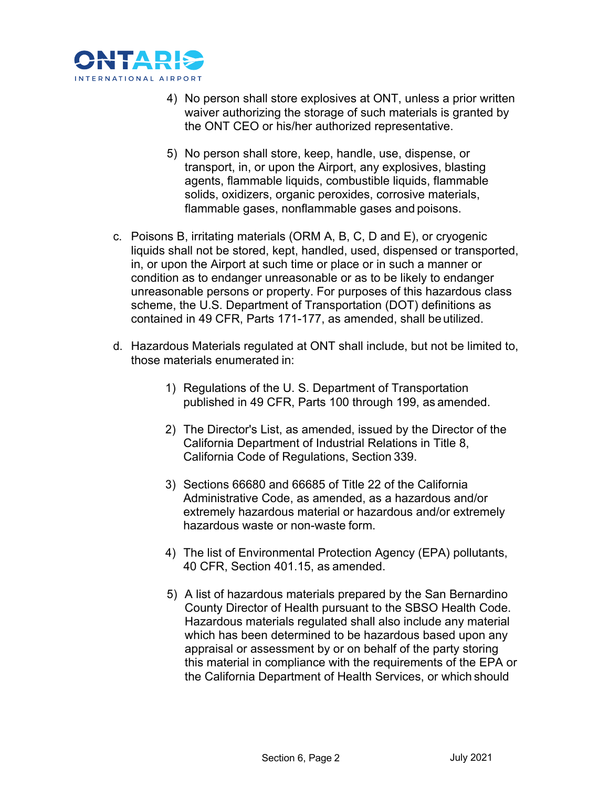

- 4) No person shall store explosives at ONT, unless a prior written waiver authorizing the storage of such materials is granted by the ONT CEO or his/her authorized representative.
- 5) No person shall store, keep, handle, use, dispense, or transport, in, or upon the Airport, any explosives, blasting agents, flammable liquids, combustible liquids, flammable solids, oxidizers, organic peroxides, corrosive materials, flammable gases, nonflammable gases and poisons.
- c. Poisons B, irritating materials (ORM A, B, C, D and E), or cryogenic liquids shall not be stored, kept, handled, used, dispensed or transported, in, or upon the Airport at such time or place or in such a manner or condition as to endanger unreasonable or as to be likely to endanger unreasonable persons or property. For purposes of this hazardous class scheme, the U.S. Department of Transportation (DOT) definitions as contained in 49 CFR, Parts 171-177, as amended, shall be utilized.
- d. Hazardous Materials regulated at ONT shall include, but not be limited to, those materials enumerated in:
	- 1) Regulations of the U. S. Department of Transportation published in 49 CFR, Parts 100 through 199, as amended.
	- 2) The Director's List, as amended, issued by the Director of the California Department of Industrial Relations in Title 8, California Code of Regulations, Section 339.
	- 3) Sections 66680 and 66685 of Title 22 of the California Administrative Code, as amended, as a hazardous and/or extremely hazardous material or hazardous and/or extremely hazardous waste or non-waste form.
	- 4) The list of Environmental Protection Agency (EPA) pollutants, 40 CFR, Section 401.15, as amended.
	- 5) A list of hazardous materials prepared by the San Bernardino County Director of Health pursuant to the SBSO Health Code. Hazardous materials regulated shall also include any material which has been determined to be hazardous based upon any appraisal or assessment by or on behalf of the party storing this material in compliance with the requirements of the EPA or the California Department of Health Services, or which should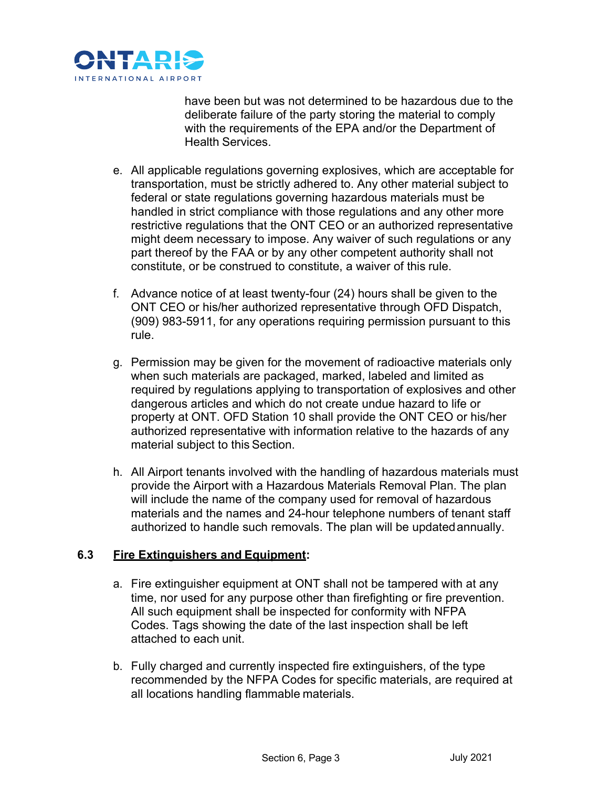

have been but was not determined to be hazardous due to the deliberate failure of the party storing the material to comply with the requirements of the EPA and/or the Department of Health Services.

- e. All applicable regulations governing explosives, which are acceptable for transportation, must be strictly adhered to. Any other material subject to federal or state regulations governing hazardous materials must be handled in strict compliance with those regulations and any other more restrictive regulations that the ONT CEO or an authorized representative might deem necessary to impose. Any waiver of such regulations or any part thereof by the FAA or by any other competent authority shall not constitute, or be construed to constitute, a waiver of this rule.
- f. Advance notice of at least twenty-four (24) hours shall be given to the ONT CEO or his/her authorized representative through OFD Dispatch, (909) 983-5911, for any operations requiring permission pursuant to this rule.
- g. Permission may be given for the movement of radioactive materials only when such materials are packaged, marked, labeled and limited as required by regulations applying to transportation of explosives and other dangerous articles and which do not create undue hazard to life or property at ONT. OFD Station 10 shall provide the ONT CEO or his/her authorized representative with information relative to the hazards of any material subject to this Section.
- h. All Airport tenants involved with the handling of hazardous materials must provide the Airport with a Hazardous Materials Removal Plan. The plan will include the name of the company used for removal of hazardous materials and the names and 24-hour telephone numbers of tenant staff authorized to handle such removals. The plan will be updatedannually.

## **6.3 Fire Extinguishers and Equipment:**

- a. Fire extinguisher equipment at ONT shall not be tampered with at any time, nor used for any purpose other than firefighting or fire prevention. All such equipment shall be inspected for conformity with NFPA Codes. Tags showing the date of the last inspection shall be left attached to each unit.
- b. Fully charged and currently inspected fire extinguishers, of the type recommended by the NFPA Codes for specific materials, are required at all locations handling flammable materials.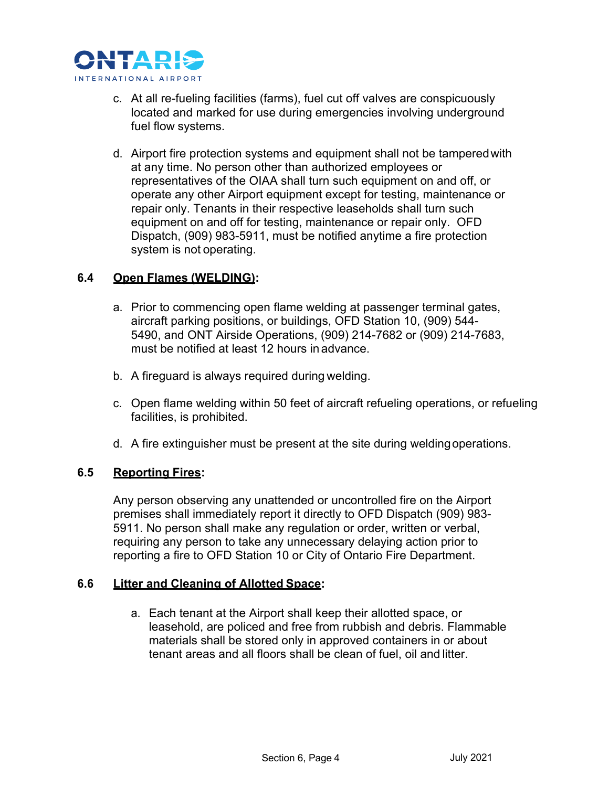

- c. At all re-fueling facilities (farms), fuel cut off valves are conspicuously located and marked for use during emergencies involving underground fuel flow systems.
- d. Airport fire protection systems and equipment shall not be tamperedwith at any time. No person other than authorized employees or representatives of the OIAA shall turn such equipment on and off, or operate any other Airport equipment except for testing, maintenance or repair only. Tenants in their respective leaseholds shall turn such equipment on and off for testing, maintenance or repair only. OFD Dispatch, (909) 983-5911, must be notified anytime a fire protection system is not operating.

## **6.4 Open Flames (WELDING):**

- a. Prior to commencing open flame welding at passenger terminal gates, aircraft parking positions, or buildings, OFD Station 10, (909) 544- 5490, and ONT Airside Operations, (909) 214-7682 or (909) 214-7683, must be notified at least 12 hours in advance.
- b. A fireguard is always required during welding.
- c. Open flame welding within 50 feet of aircraft refueling operations, or refueling facilities, is prohibited.
- d. A fire extinguisher must be present at the site during weldingoperations.

## **6.5 Reporting Fires:**

Any person observing any unattended or uncontrolled fire on the Airport premises shall immediately report it directly to OFD Dispatch (909) 983- 5911. No person shall make any regulation or order, written or verbal, requiring any person to take any unnecessary delaying action prior to reporting a fire to OFD Station 10 or City of Ontario Fire Department.

## **6.6 Litter and Cleaning of Allotted Space:**

a. Each tenant at the Airport shall keep their allotted space, or leasehold, are policed and free from rubbish and debris. Flammable materials shall be stored only in approved containers in or about tenant areas and all floors shall be clean of fuel, oil and litter.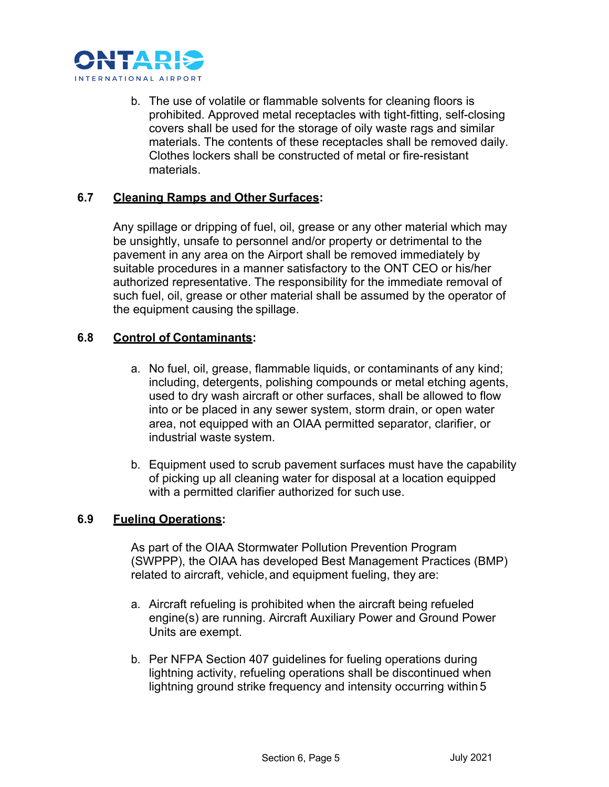

b. The use of volatile or flammable solvents for cleaning floors is prohibited. Approved metal receptacles with tight-fitting, self-closing covers shall be used for the storage of oily waste rags and similar materials. The contents of these receptacles shall be removed daily. Clothes lockers shall be constructed of metal or fire-resistant materials.

### **6.7 Cleaning Ramps and Other Surfaces:**

Any spillage or dripping of fuel, oil, grease or any other material which may be unsightly, unsafe to personnel and/or property or detrimental to the pavement in any area on the Airport shall be removed immediately by suitable procedures in a manner satisfactory to the ONT CEO or his/her authorized representative. The responsibility for the immediate removal of such fuel, oil, grease or other material shall be assumed by the operator of the equipment causing the spillage.

## **6.8 Control of Contaminants:**

- a. No fuel, oil, grease, flammable liquids, or contaminants of any kind; including, detergents, polishing compounds or metal etching agents, used to dry wash aircraft or other surfaces, shall be allowed to flow into or be placed in any sewer system, storm drain, or open water area, not equipped with an OIAA permitted separator, clarifier, or industrial waste system.
- b. Equipment used to scrub pavement surfaces must have the capability of picking up all cleaning water for disposal at a location equipped with a permitted clarifier authorized for such use.

### **6.9 Fueling Operations:**

As part of the OIAA Stormwater Pollution Prevention Program (SWPPP), the OIAA has developed Best Management Practices (BMP) related to aircraft, vehicle, and equipment fueling, they are:

- a. Aircraft refueling is prohibited when the aircraft being refueled engine(s) are running. Aircraft Auxiliary Power and Ground Power Units are exempt.
- b. Per NFPA Section 407 guidelines for fueling operations during lightning activity, refueling operations shall be discontinued when lightning ground strike frequency and intensity occurring within 5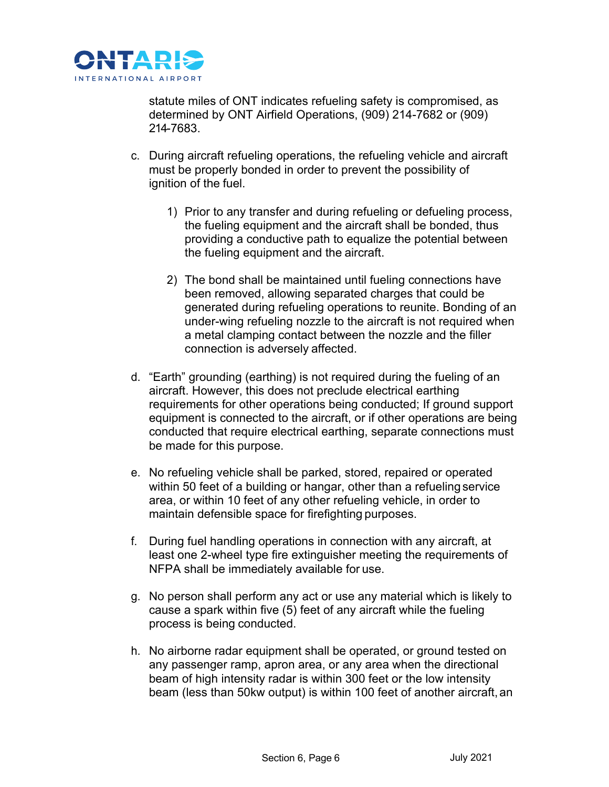

statute miles of ONT indicates refueling safety is compromised, as determined by ONT Airfield Operations, (909) 214-7682 or (909) 214-7683.

- c. During aircraft refueling operations, the refueling vehicle and aircraft must be properly bonded in order to prevent the possibility of ignition of the fuel.
	- 1) Prior to any transfer and during refueling or defueling process, the fueling equipment and the aircraft shall be bonded, thus providing a conductive path to equalize the potential between the fueling equipment and the aircraft.
	- 2) The bond shall be maintained until fueling connections have been removed, allowing separated charges that could be generated during refueling operations to reunite. Bonding of an under-wing refueling nozzle to the aircraft is not required when a metal clamping contact between the nozzle and the filler connection is adversely affected.
- d. "Earth" grounding (earthing) is not required during the fueling of an aircraft. However, this does not preclude electrical earthing requirements for other operations being conducted; If ground support equipment is connected to the aircraft, or if other operations are being conducted that require electrical earthing, separate connections must be made for this purpose.
- e. No refueling vehicle shall be parked, stored, repaired or operated within 50 feet of a building or hangar, other than a refueling service area, or within 10 feet of any other refueling vehicle, in order to maintain defensible space for firefighting purposes.
- f. During fuel handling operations in connection with any aircraft, at least one 2-wheel type fire extinguisher meeting the requirements of NFPA shall be immediately available for use.
- g. No person shall perform any act or use any material which is likely to cause a spark within five (5) feet of any aircraft while the fueling process is being conducted.
- h. No airborne radar equipment shall be operated, or ground tested on any passenger ramp, apron area, or any area when the directional beam of high intensity radar is within 300 feet or the low intensity beam (less than 50kw output) is within 100 feet of another aircraft, an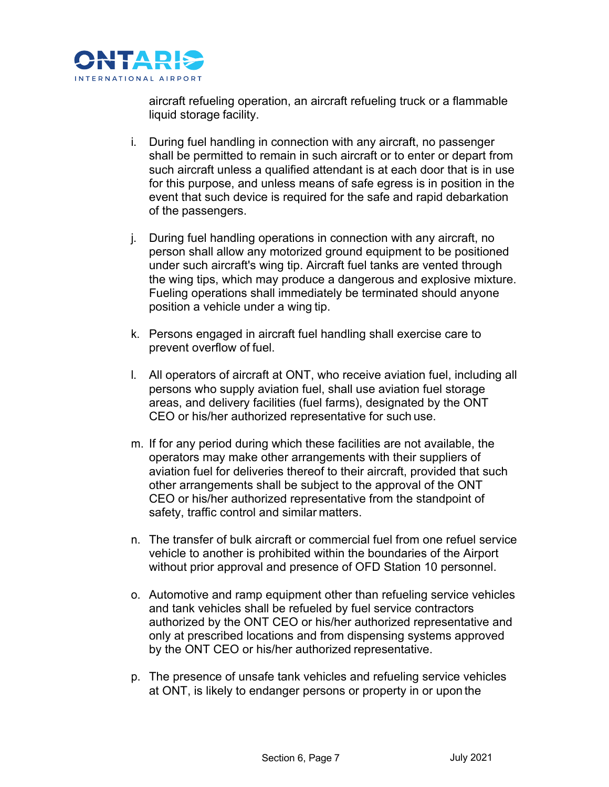

aircraft refueling operation, an aircraft refueling truck or a flammable liquid storage facility.

- i. During fuel handling in connection with any aircraft, no passenger shall be permitted to remain in such aircraft or to enter or depart from such aircraft unless a qualified attendant is at each door that is in use for this purpose, and unless means of safe egress is in position in the event that such device is required for the safe and rapid debarkation of the passengers.
- j. During fuel handling operations in connection with any aircraft, no person shall allow any motorized ground equipment to be positioned under such aircraft's wing tip. Aircraft fuel tanks are vented through the wing tips, which may produce a dangerous and explosive mixture. Fueling operations shall immediately be terminated should anyone position a vehicle under a wing tip.
- k. Persons engaged in aircraft fuel handling shall exercise care to prevent overflow of fuel.
- l. All operators of aircraft at ONT, who receive aviation fuel, including all persons who supply aviation fuel, shall use aviation fuel storage areas, and delivery facilities (fuel farms), designated by the ONT CEO or his/her authorized representative for such use.
- m. If for any period during which these facilities are not available, the operators may make other arrangements with their suppliers of aviation fuel for deliveries thereof to their aircraft, provided that such other arrangements shall be subject to the approval of the ONT CEO or his/her authorized representative from the standpoint of safety, traffic control and similar matters.
- n. The transfer of bulk aircraft or commercial fuel from one refuel service vehicle to another is prohibited within the boundaries of the Airport without prior approval and presence of OFD Station 10 personnel.
- o. Automotive and ramp equipment other than refueling service vehicles and tank vehicles shall be refueled by fuel service contractors authorized by the ONT CEO or his/her authorized representative and only at prescribed locations and from dispensing systems approved by the ONT CEO or his/her authorized representative.
- p. The presence of unsafe tank vehicles and refueling service vehicles at ONT, is likely to endanger persons or property in or upon the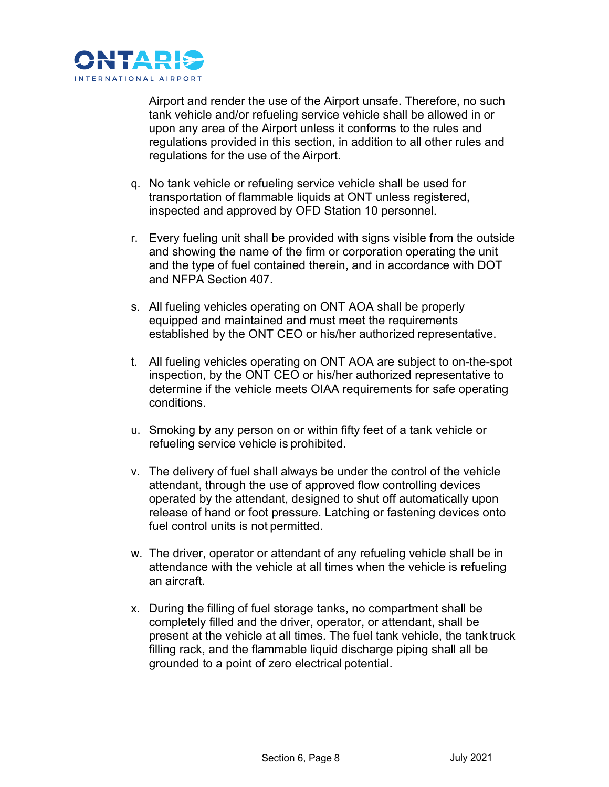

Airport and render the use of the Airport unsafe. Therefore, no such tank vehicle and/or refueling service vehicle shall be allowed in or upon any area of the Airport unless it conforms to the rules and regulations provided in this section, in addition to all other rules and regulations for the use of the Airport.

- q. No tank vehicle or refueling service vehicle shall be used for transportation of flammable liquids at ONT unless registered, inspected and approved by OFD Station 10 personnel.
- r. Every fueling unit shall be provided with signs visible from the outside and showing the name of the firm or corporation operating the unit and the type of fuel contained therein, and in accordance with DOT and NFPA Section 407.
- s. All fueling vehicles operating on ONT AOA shall be properly equipped and maintained and must meet the requirements established by the ONT CEO or his/her authorized representative.
- t. All fueling vehicles operating on ONT AOA are subject to on-the-spot inspection, by the ONT CEO or his/her authorized representative to determine if the vehicle meets OIAA requirements for safe operating conditions.
- u. Smoking by any person on or within fifty feet of a tank vehicle or refueling service vehicle is prohibited.
- v. The delivery of fuel shall always be under the control of the vehicle attendant, through the use of approved flow controlling devices operated by the attendant, designed to shut off automatically upon release of hand or foot pressure. Latching or fastening devices onto fuel control units is not permitted.
- w. The driver, operator or attendant of any refueling vehicle shall be in attendance with the vehicle at all times when the vehicle is refueling an aircraft.
- x. During the filling of fuel storage tanks, no compartment shall be completely filled and the driver, operator, or attendant, shall be present at the vehicle at all times. The fuel tank vehicle, the tank truck filling rack, and the flammable liquid discharge piping shall all be grounded to a point of zero electrical potential.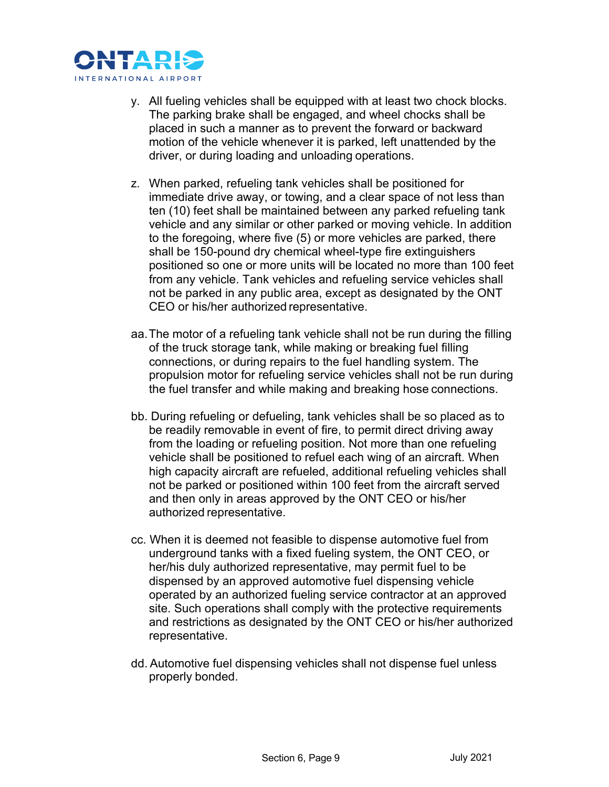

- y. All fueling vehicles shall be equipped with at least two chock blocks. The parking brake shall be engaged, and wheel chocks shall be placed in such a manner as to prevent the forward or backward motion of the vehicle whenever it is parked, left unattended by the driver, or during loading and unloading operations.
- z. When parked, refueling tank vehicles shall be positioned for immediate drive away, or towing, and a clear space of not less than ten (10) feet shall be maintained between any parked refueling tank vehicle and any similar or other parked or moving vehicle. In addition to the foregoing, where five (5) or more vehicles are parked, there shall be 150-pound dry chemical wheel-type fire extinguishers positioned so one or more units will be located no more than 100 feet from any vehicle. Tank vehicles and refueling service vehicles shall not be parked in any public area, except as designated by the ONT CEO or his/her authorized representative.
- aa.The motor of a refueling tank vehicle shall not be run during the filling of the truck storage tank, while making or breaking fuel filling connections, or during repairs to the fuel handling system. The propulsion motor for refueling service vehicles shall not be run during the fuel transfer and while making and breaking hose connections.
- bb. During refueling or defueling, tank vehicles shall be so placed as to be readily removable in event of fire, to permit direct driving away from the loading or refueling position. Not more than one refueling vehicle shall be positioned to refuel each wing of an aircraft. When high capacity aircraft are refueled, additional refueling vehicles shall not be parked or positioned within 100 feet from the aircraft served and then only in areas approved by the ONT CEO or his/her authorized representative.
- cc. When it is deemed not feasible to dispense automotive fuel from underground tanks with a fixed fueling system, the ONT CEO, or her/his duly authorized representative, may permit fuel to be dispensed by an approved automotive fuel dispensing vehicle operated by an authorized fueling service contractor at an approved site. Such operations shall comply with the protective requirements and restrictions as designated by the ONT CEO or his/her authorized representative.
- dd. Automotive fuel dispensing vehicles shall not dispense fuel unless properly bonded.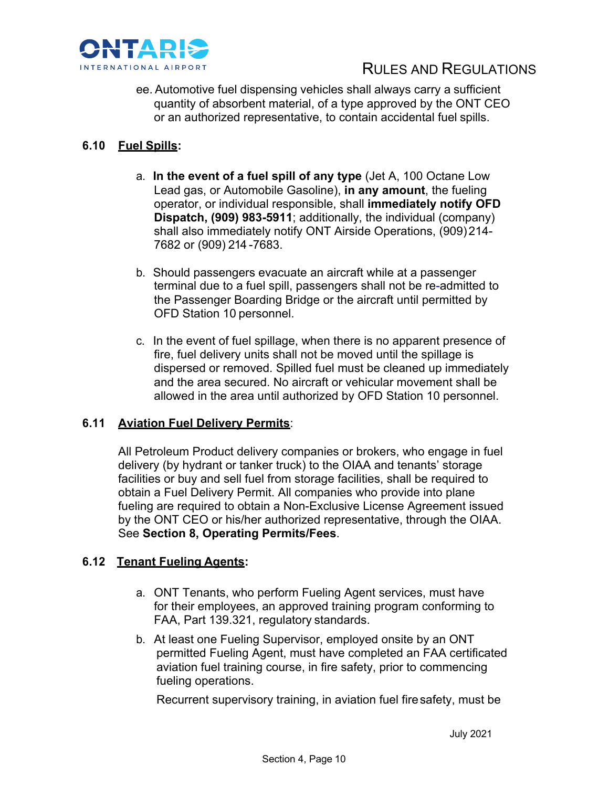

ee. Automotive fuel dispensing vehicles shall always carry a sufficient quantity of absorbent material, of a type approved by the ONT CEO or an authorized representative, to contain accidental fuel spills.

## **6.10 Fuel Spills:**

- a. **In the event of a fuel spill of any type** (Jet A, 100 Octane Low Lead gas, or Automobile Gasoline), **in any amount**, the fueling operator, or individual responsible, shall **immediately notify OFD Dispatch, (909) 983-5911**; additionally, the individual (company) shall also immediately notify ONT Airside Operations, (909) 214-7682 or (909) 214 -7683.
- b. Should passengers evacuate an aircraft while at a passenger terminal due to a fuel spill, passengers shall not be re-admitted to the Passenger Boarding Bridge or the aircraft until permitted by OFD Station 10 personnel.
- c. In the event of fuel spillage, when there is no apparent presence of fire, fuel delivery units shall not be moved until the spillage is dispersed or removed. Spilled fuel must be cleaned up immediately and the area secured. No aircraft or vehicular movement shall be allowed in the area until authorized by OFD Station 10 personnel.

## **6.11 Aviation Fuel Delivery Permits**:

All Petroleum Product delivery companies or brokers, who engage in fuel delivery (by hydrant or tanker truck) to the OIAA and tenants' storage facilities or buy and sell fuel from storage facilities, shall be required to obtain a Fuel Delivery Permit. All companies who provide into plane fueling are required to obtain a Non-Exclusive License Agreement issued by the ONT CEO or his/her authorized representative, through the OIAA. See **Section 8, Operating Permits/Fees**.

## **6.12 Tenant Fueling Agents:**

- a. ONT Tenants, who perform Fueling Agent services, must have for their employees, an approved training program conforming to FAA, Part 139.321, regulatory standards.
- b. At least one Fueling Supervisor, employed onsite by an ONT permitted Fueling Agent, must have completed an FAA certificated aviation fuel training course, in fire safety, prior to commencing fueling operations.

Recurrent supervisory training, in aviation fuel firesafety, must be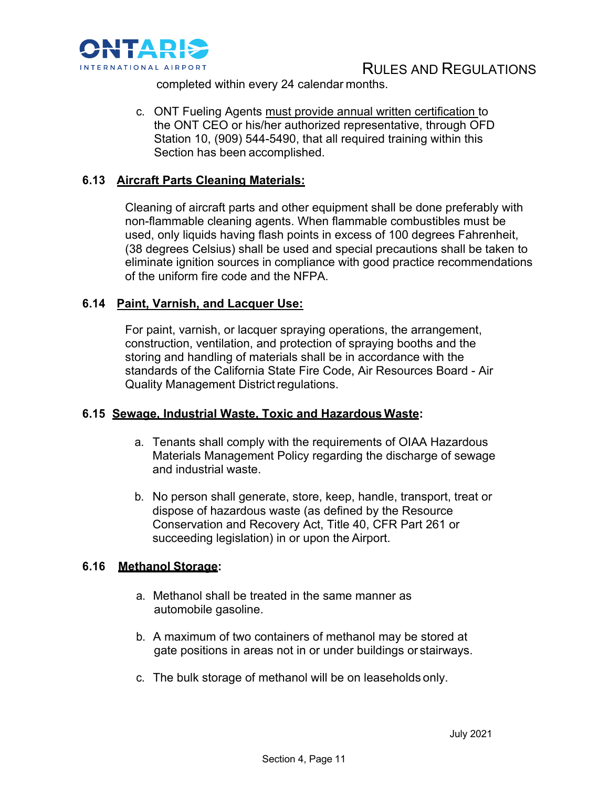

completed within every 24 calendar months.

c. ONT Fueling Agents must provide annual written certification to the ONT CEO or his/her authorized representative, through OFD Station 10, (909) 544-5490, that all required training within this Section has been accomplished.

## **6.13 Aircraft Parts Cleaning Materials:**

Cleaning of aircraft parts and other equipment shall be done preferably with non-flammable cleaning agents. When flammable combustibles must be used, only liquids having flash points in excess of 100 degrees Fahrenheit, (38 degrees Celsius) shall be used and special precautions shall be taken to eliminate ignition sources in compliance with good practice recommendations of the uniform fire code and the NFPA.

## **6.14 Paint, Varnish, and Lacquer Use:**

For paint, varnish, or lacquer spraying operations, the arrangement, construction, ventilation, and protection of spraying booths and the storing and handling of materials shall be in accordance with the standards of the California State Fire Code, Air Resources Board - Air Quality Management District regulations.

## **6.15 Sewage, Industrial Waste, Toxic and Hazardous Waste:**

- a. Tenants shall comply with the requirements of OIAA Hazardous Materials Management Policy regarding the discharge of sewage and industrial waste.
- b. No person shall generate, store, keep, handle, transport, treat or dispose of hazardous waste (as defined by the Resource Conservation and Recovery Act, Title 40, CFR Part 261 or succeeding legislation) in or upon the Airport.

## **6.16 Methanol Storage:**

- a. Methanol shall be treated in the same manner as automobile gasoline.
- b. A maximum of two containers of methanol may be stored at gate positions in areas not in or under buildings or stairways.
- c. The bulk storage of methanol will be on leaseholds only.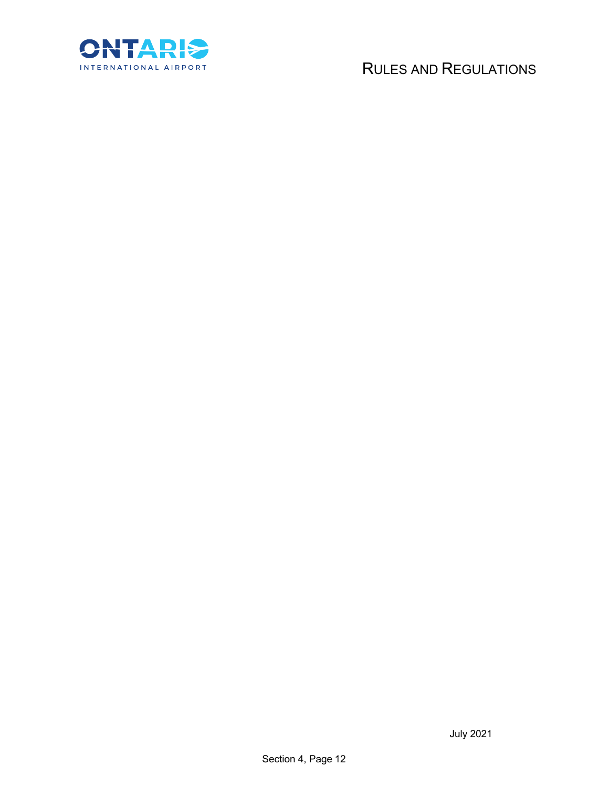

## RULES AND REGULATIONS